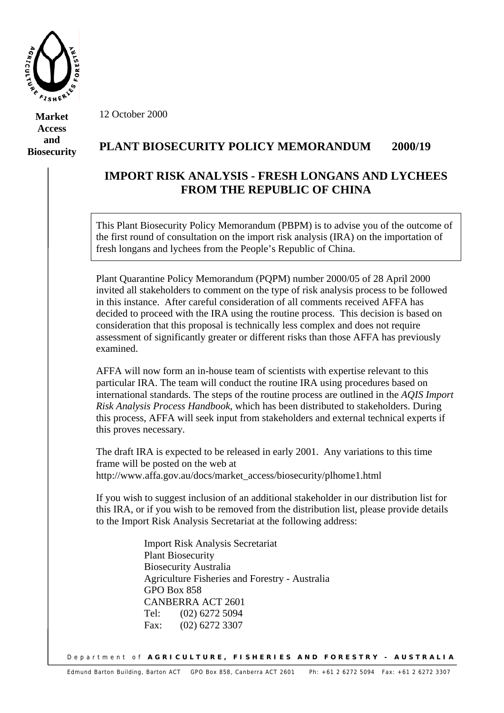

**Market Access and Biosecurity**  12 October 2000

## **PLANT BIOSECURITY POLICY MEMORANDUM 2000/19**

## **IMPORT RISK ANALYSIS - FRESH LONGANS AND LYCHEES FROM THE REPUBLIC OF CHINA**

This Plant Biosecurity Policy Memorandum (PBPM) is to advise you of the outcome of the first round of consultation on the import risk analysis (IRA) on the importation of fresh longans and lychees from the People's Republic of China.

Plant Quarantine Policy Memorandum (PQPM) number 2000/05 of 28 April 2000 invited all stakeholders to comment on the type of risk analysis process to be followed in this instance. After careful consideration of all comments received AFFA has decided to proceed with the IRA using the routine process. This decision is based on consideration that this proposal is technically less complex and does not require assessment of significantly greater or different risks than those AFFA has previously examined.

AFFA will now form an in-house team of scientists with expertise relevant to this particular IRA. The team will conduct the routine IRA using procedures based on international standards. The steps of the routine process are outlined in the *AQIS Import Risk Analysis Process Handbook*, which has been distributed to stakeholders. During this process, AFFA will seek input from stakeholders and external technical experts if this proves necessary.

The draft IRA is expected to be released in early 2001. Any variations to this time frame will be posted on the web at http://www.affa.gov.au/docs/market\_access/biosecurity/plhome1.html

If you wish to suggest inclusion of an additional stakeholder in our distribution list for this IRA, or if you wish to be removed from the distribution list, please provide details to the Import Risk Analysis Secretariat at the following address:

> Import Risk Analysis Secretariat Plant Biosecurity Biosecurity Australia Agriculture Fisheries and Forestry - Australia GPO Box 858 CANBERRA ACT 2601 Tel: (02) 6272 5094 Fax: (02) 6272 3307

Department of **AGRICULTURE, FISHERIES AND FORESTRY - AUSTRALIA**